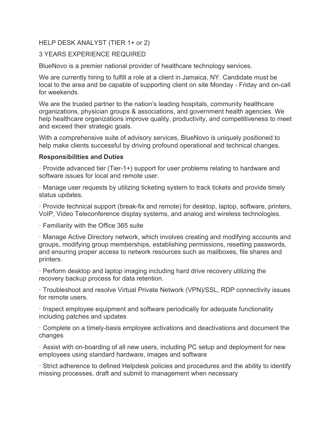#### HELP DESK ANALYST (TIER 1+ or 2)

### 3 YEARS EXPERIENCE REQUIRED

BlueNovo is a premier national provider of healthcare technology services.

We are currently hiring to fulfill a role at a client in Jamaica, NY. Candidate must be local to the area and be capable of supporting client on site Monday - Friday and on-call for weekends.

We are the trusted partner to the nation's leading hospitals, community healthcare organizations, physician groups & associations, and government health agencies. We help healthcare organizations improve quality, productivity, and competitiveness to meet and exceed their strategic goals.

With a comprehensive suite of advisory services, BlueNovo is uniquely positioned to help make clients successful by driving profound operational and technical changes.

#### **Responsibilities and Duties**

· Provide advanced tier (Tier-1+) support for user problems relating to hardware and software issues for local and remote user.

· Manage user requests by utilizing ticketing system to track tickets and provide timely status updates.

· Provide technical support (break-fix and remote) for desktop, laptop, software, printers, VoIP, Video Teleconference display systems, and analog and wireless technologies.

· Familiarity with the Office 365 suite

· Manage Active Directory network, which involves creating and modifying accounts and groups, modifying group memberships, establishing permissions, resetting passwords, and ensuring proper access to network resources such as mailboxes, file shares and printers.

· Perform desktop and laptop imaging including hard drive recovery utilizing the recovery backup process for data retention.

· Troubleshoot and resolve Virtual Private Network (VPN)/SSL, RDP connectivity issues for remote users.

· Inspect employee equipment and software periodically for adequate functionality including patches and updates

· Complete on a timely-basis employee activations and deactivations and document the changes

· Assist with on-boarding of all new users, including PC setup and deployment for new employees using standard hardware, images and software

· Strict adherence to defined Helpdesk policies and procedures and the ability to identify missing processes, draft and submit to management when necessary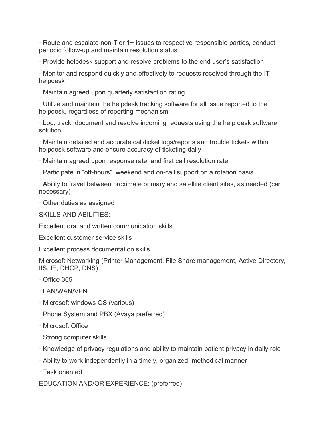· Route and escalate non-Tier 1+ issues to respective responsible parties, conduct periodic follow-up and maintain resolution status

· Provide helpdesk support and resolve problems to the end user's satisfaction

· Monitor and respond quickly and effectively to requests received through the IT helpdesk

· Maintain agreed upon quarterly satisfaction rating

· Utilize and maintain the helpdesk tracking software for all issue reported to the helpdesk, regardless of reporting mechanism.

· Log, track, document and resolve incoming requests using the help desk software solution

· Maintain detailed and accurate call/ticket logs/reports and trouble tickets within helpdesk software and ensure accuracy of ticketing daily

· Maintain agreed upon response rate, and first call resolution rate

· Participate in "off-hours", weekend and on-call support on a rotation basis

· Ability to travel between proximate primary and satellite client sites, as needed (car necessary)

· Other duties as assigned

SKILLS AND ABILITIES:

Excellent oral and written communication skills

Excellent customer service skills

Excellent process documentation skills

Microsoft Networking (Printer Management, File Share management, Active Directory, IIS, IE, DHCP, DNS)

- · Office 365
- · LAN/WAN/VPN
- · Microsoft windows OS (various)
- · Phone System and PBX (Avaya preferred)
- · Microsoft Office
- · Strong computer skills
- · Knowledge of privacy regulations and ability to maintain patient privacy in daily role
- · Ability to work independently in a timely, organized, methodical manner
- · Task oriented

EDUCATION AND/OR EXPERIENCE: (preferred)